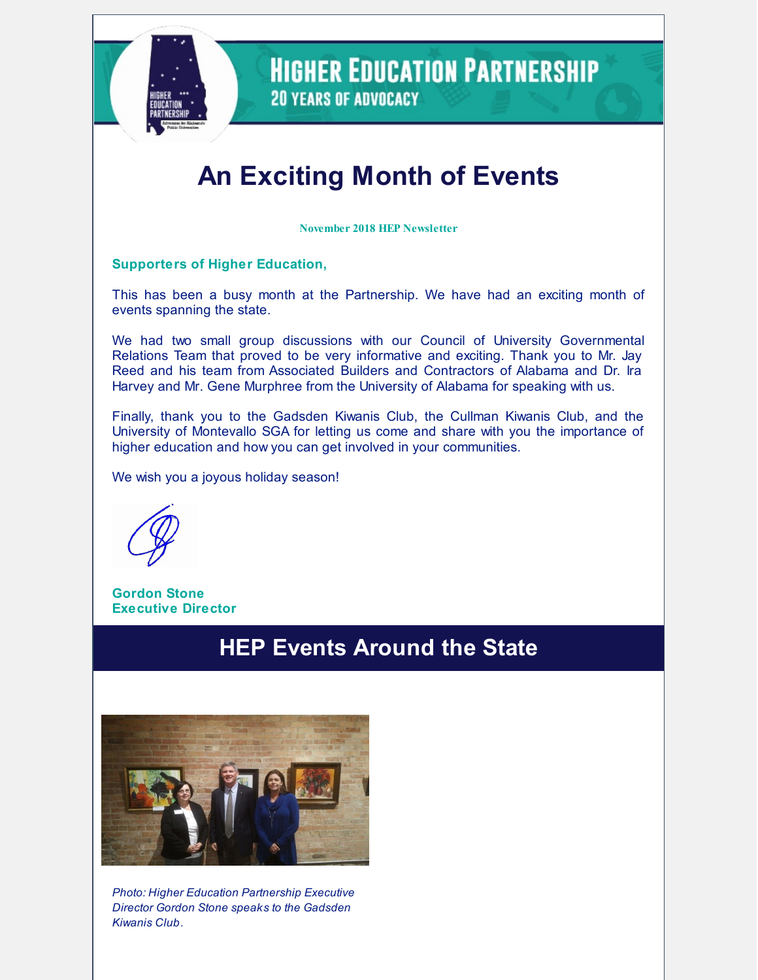

**HIGHER EDUCATION PARTNERSHIP 20 YEARS OF ADVOCACY** 

# **An Exciting Month of Events**

**November 2018 HEP Newsletter**

#### **Supporters of Higher Education,**

This has been a busy month at the Partnership. We have had an exciting month of events spanning the state.

We had two small group discussions with our Council of University Governmental Relations Team that proved to be very informative and exciting. Thank you to Mr. Jay Reed and his team from Associated Builders and Contractors of Alabama and Dr. Ira Harvey and Mr. Gene Murphree from the University of Alabama for speaking with us.

Finally, thank you to the Gadsden Kiwanis Club, the Cullman Kiwanis Club, and the University of Montevallo SGA for letting us come and share with you the importance of higher education and how you can get involved in your communities.

We wish you a joyous holiday season!

**Gordon Stone Executive Director**

### **HEP Events Around the State**



*Photo: Higher Education Partnership Executive Director Gordon Stone speaks to the Gadsden Kiwanis Club.*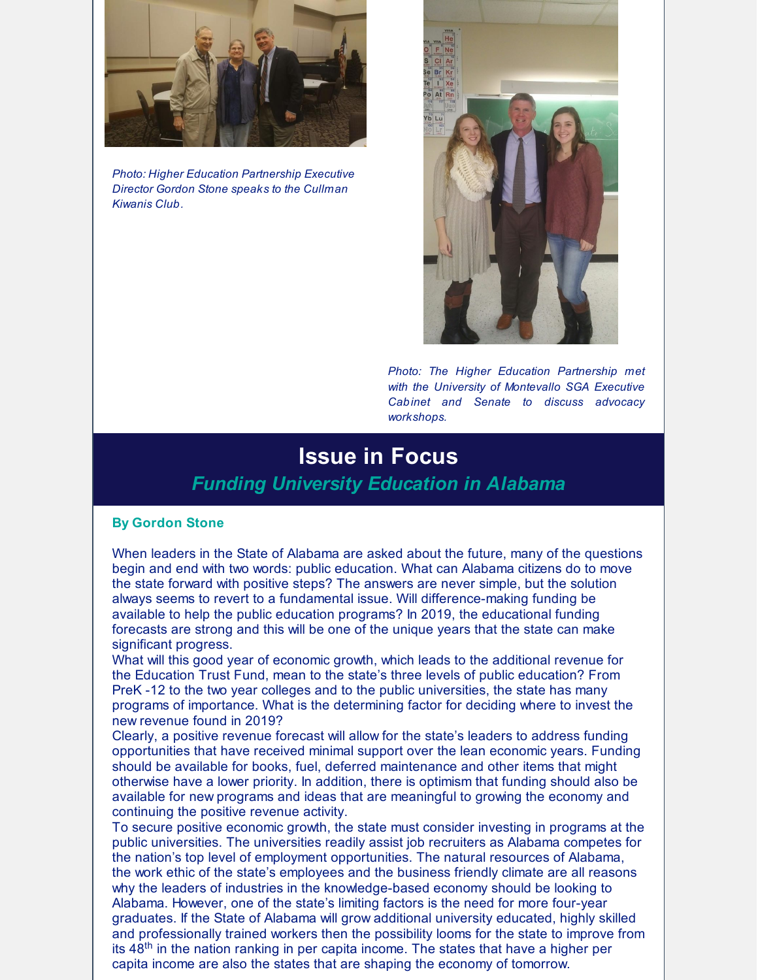

*Photo: Higher Education Partnership Executive Director Gordon Stone speaks to the Cullman Kiwanis Club.*



*Photo: The Higher Education Partnership met with the University of Montevallo SGA Executive Cabinet and Senate to discuss advocacy workshops.*

#### **Issue in Focus** *Funding University Education in Alabama*

#### **By Gordon Stone**

When leaders in the State of Alabama are asked about the future, many of the questions begin and end with two words: public education. What can Alabama citizens do to move the state forward with positive steps? The answers are never simple, but the solution always seems to revert to a fundamental issue. Will difference-making funding be available to help the public education programs? In 2019, the educational funding forecasts are strong and this will be one of the unique years that the state can make significant progress.

What will this good year of economic growth, which leads to the additional revenue for the Education Trust Fund, mean to the state's three levels of public education? From PreK -12 to the two year colleges and to the public universities, the state has many programs of importance. What is the determining factor for deciding where to invest the new revenue found in 2019?

Clearly, a positive revenue forecast will allow for the state's leaders to address funding opportunities that have received minimal support over the lean economic years. Funding should be available for books, fuel, deferred maintenance and other items that might otherwise have a lower priority. In addition, there is optimism that funding should also be available for new programs and ideas that are meaningful to growing the economy and continuing the positive revenue activity.

To secure positive economic growth, the state must consider investing in programs at the public universities. The universities readily assist job recruiters as Alabama competes for the nation's top level of employment opportunities. The natural resources of Alabama, the work ethic of the state's employees and the business friendly climate are all reasons why the leaders of industries in the knowledge-based economy should be looking to Alabama. However, one of the state's limiting factors is the need for more four-year graduates. If the State of Alabama will grow additional university educated, highly skilled and professionally trained workers then the possibility looms for the state to improve from its 48<sup>th</sup> in the nation ranking in per capita income. The states that have a higher per capita income are also the states that are shaping the economy of tomorrow.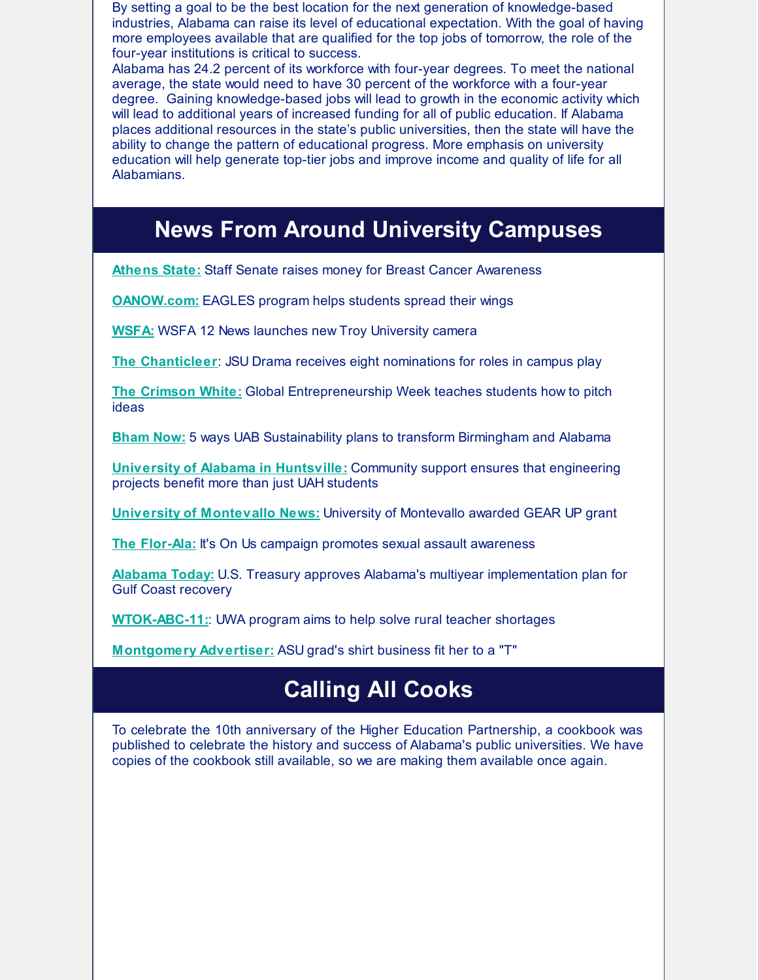By setting a goal to be the best location for the next generation of knowledge-based industries, Alabama can raise its level of educational expectation. With the goal of having more employees available that are qualified for the top jobs of tomorrow, the role of the four-year institutions is critical to success.

Alabama has 24.2 percent of its workforce with four-year degrees. To meet the national average, the state would need to have 30 percent of the workforce with a four-year degree. Gaining knowledge-based jobs will lead to growth in the economic activity which will lead to additional years of increased funding for all of public education. If Alabama places additional resources in the state's public universities, then the state will have the ability to change the pattern of educational progress. More emphasis on university education will help generate top-tier jobs and improve income and quality of life for all Alabamians.

## **News From Around University Campuses**

**[Athens](http://www.athens.edu/staff-senate-raises-money-for-breast-cancer-awareness/) State:** Staff Senate raises money for Breast Cancer Awareness

**[OANOW.com:](https://www.oanow.com/news/auburnuniversity/eagles-program-helps-students-spread-their-wings/article_efb2ccea-ea0d-11e8-b0b4-df667305accd.html)** EAGLES program helps students spread their wings

**[WSFA:](http://www.wsfa.com/2018/10/31/new-troy-university-camera-launched/)** WSFA 12 News launches new Troy University camera

**The [Chanticleer](https://thechanticleer.wordpress.com/2018/11/15/jsu-drama-receives-eight-nominations-for-roles-in-she-kills-monsters/)**: JSU Drama receives eight nominations for roles in campus play

**The [Crimson](https://cw.ua.edu/48772/news/global-entrepreneurship-week-teaches-students-how-to-pitch-ideas/) White[:](https://www.al.com/news/index.ssf/2018/09/alabama_university_lands_near.html)** Global Entrepreneurship Week teaches students how to pitch ideas

**[Bham](https://bhamnow.com/2018/11/27/5-ways-uab-sustainability-plans-to-transform-birmingham-and-alabama/) No[w:](https://www.montgomeryadvertiser.com/picture-gallery/news/politics/2018/10/03/walt-maddox-alabama-state-university-asu/1510718002/)** 5 ways UAB Sustainability plans to transform Birmingham and Alabama

**University of Alabama in [Huntsville:](https://www.uah.edu/news/campus/community-support-ensures-that-engineering-projects-benefit-more-than-just-uah-students)** Community support ensures that engineering projects benefit more than just UAH students

**University of [Montevallo](https://www.montevallo.edu/gear-up-grant/) News:** University of Montevallo awarded GEAR UP grant

**The [Flor-Ala](https://www.florala.net/life/it-s-on-us-campaign-promotes-sexual-assault-awareness/article_49a1ca2e-e07e-11e8-b17a-e3c79110118b.html)[:](https://www.montgomeryadvertiser.com/story/news/2018/10/10/alabama-appleseed-report-alabama-court-fines-fees-counter-public-safety-aims/1588291002/)** It's On Us campaign promotes sexual assault awareness

**[Alabama](http://altoday.com/archives/27619-u-s-treasury-approves-alabamas-multiyear-implementation-plan-for-gulf-coast-recovery) Today:** U.S. Treasury approves Alabama's multiyear implementation plan for Gulf Coast recovery

**[WTOK-ABC-11:](https://www.wtok.com/content/news/UWA-program-aims-at-solving-teacher-shortage-in-Alabamas-Black-Belt-region-499311321.html)**: UWA program aims to help solve rural teacher shortages

**[Montgomery](https://www.montgomeryadvertiser.com/story/news/2018/11/27/nichole-greens-startling-success-t-shirt-industry-one-direction/2018337002/) Advertiser:** ASU grad's shirt business fit her to a "T"

## **Calling All Cooks**

To celebrate the 10th anniversary of the Higher Education Partnership, a cookbook was published to celebrate the history and success of Alabama's public universities. We have copies of the cookbook still available, so we are making them available once again.